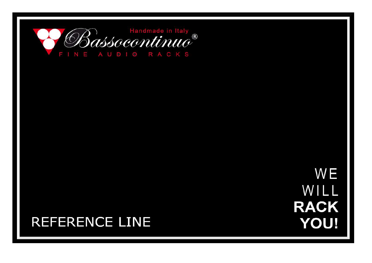

**WE** WILL **RACK YOU!** 

# **REFERENCE LINE**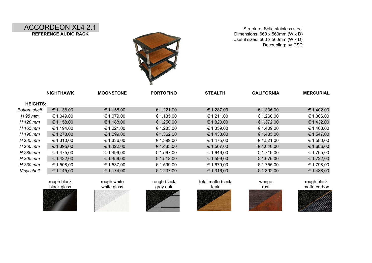## ACCORDEON XL4 2.1 **REFERENCE AUDIO RACK**

Structure: Solid stainless steel Dimensions: 660 x 560mm (W x D) Useful sizes: 560 x 560mm (W x D) Decoupling: by DSD



|                     | <b>NIGHTHAWK</b> | <b>MOONSTONE</b> | <b>PORTOFINO</b> | <b>STEALTH</b> | <b>CALIFORNIA</b> | <b>MERCURIAL</b> |
|---------------------|------------------|------------------|------------------|----------------|-------------------|------------------|
| <b>HEIGHTS:</b>     |                  |                  |                  |                |                   |                  |
| <b>Bottom shelf</b> | € 1.138,00       | € 1.155,00       | € 1.221,00       | € 1.287,00     | € 1.336,00        | € 1.402,00       |
| H 95 mm             | € 1.049,00       | € 1.079,00       | € 1.135,00       | € 1.211,00     | € 1.260,00        | € 1.306,00       |
| H 120 mm            | € 1.158,00       | € 1.188,00       | € 1.250,00       | € 1.323,00     | € 1.372,00        | € 1.432,00       |
| H 165 mm            | € 1.194,00       | € 1.221,00       | € 1.283,00       | € 1.359,00     | € 1.409,00        | € 1.468,00       |
| H 190 mm            | € 1.273,00       | € 1.299,00       | € 1.362,00       | € 1.438,00     | € 1.485,00        | € 1.547,00       |
| H 235 mm            | € 1.310,00       | € 1.336,00       | € 1.399,00       | € 1.475,00     | € 1.521,00        | € 1.580,00       |
| H 260 mm            | € 1.395,00       | € 1.422,00       | € 1.485,00       | € 1.567,00     | € 1.640,00        | € 1.686,00       |
| H 285 mm            | € 1.475,00       | € 1.499,00       | € 1.567,00       | € 1.646,00     | € 1.719,00        | € 1.765,00       |
| H 305 mm            | € 1.432,00       | € 1.459,00       | € 1.518,00       | € 1.599,00     | € 1.676,00        | € 1.722,00       |
| H 330 mm            | € 1.508,00       | € 1.537,00       | € 1.599,00       | € 1.679,00     | € 1.755,00        | € 1.798,00       |
| Vinyl shelf         | € 1.145,00       | € 1.174,00       | € 1.237,00       | € 1.316,00     | € 1.392,00        | € 1.438,00       |
|                     |                  |                  |                  |                |                   |                  |







white glass gray oak







teak matte carbon

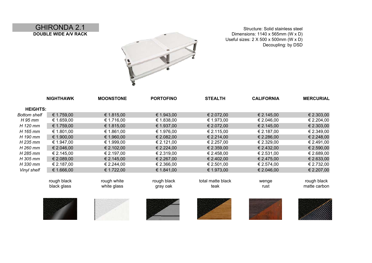GHIRONDA 2.1 **DOUBLE WIDE A/V RACK**

Structure: Solid stainless steel Dimensions: 1140 x 565mm (W x D) Useful sizes: 2 X 500 x 500mm (W x D) Decoupling: by DSD



|                     | <b>NIGHTHAWK</b> | <b>MOONSTONE</b> | <b>PORTOFINO</b> | <b>STEALTH</b>    | <b>CALIFORNIA</b> | <b>MERCURIAL</b> |
|---------------------|------------------|------------------|------------------|-------------------|-------------------|------------------|
| <b>HEIGHTS:</b>     |                  |                  |                  |                   |                   |                  |
| <b>Bottom shelf</b> | € 1.759,00       | € 1.815,00       | € 1.943,00       | € 2.072,00        | € 2.145,00        | € 2.303,00       |
| H 95 mm             | € 1.659,00       | € 1.716,00       | € 1.838,00       | € 1.973,00        | € 2.046,00        | € 2.204,00       |
| H 120 mm            | € 1.759,00       | € 1.815,00       | € 1.937,00       | € 2.072,00        | € 2.145,00        | € 2.303,00       |
| H 165 mm            | € 1.801,00       | € 1.861,00       | € 1.976,00       | € 2.115,00        | € 2.187,00        | € 2.349,00       |
| H 190 mm            | € 1.900,00       | € 1.960,00       | € 2.082,00       | € 2.214,00        | € 2.286,00        | € 2.248,00       |
| $H$ 235 mm          | € 1.947,00       | € 1.999,00       | € 2.121,00       | € 2.257,00        | € 2.329,00        | € 2.491,00       |
| H 260 mm            | € 2.046,00       | € 2.102,00       | € 2.224,00       | € 2.359,00        | € 2.432,00        | € 2.590,00       |
| H 285 mm            | € 2.145,00       | € 2.197,00       | € 2.319,00       | € 2.458,00        | € 2.531,00        | € 2.689,00       |
| H 305 mm            | € 2.089,00       | € 2.145,00       | € 2.267,00       | € 2.402,00        | € 2.475,00        | € 2.633,00       |
| H 330 mm            | € 2.187,00       | € 2.244,00       | € 2.366,00       | € 2.501,00        | € 2.574,00        | € 2.732,00       |
| Vinyl shelf         | € 1.666,00       | € 1.722,00       | € 1.841,00       | € 1.973,00        | € 2.046,00        | € 2.207,00       |
|                     |                  |                  |                  |                   |                   |                  |
|                     | rough black      | rough white      | rough black      | total matte black | wenge             | rough black      |
|                     | black glass      | white glass      | gray oak         | teak              | rust              | matte carbon     |
|                     |                  |                  |                  |                   |                   |                  |
|                     |                  |                  |                  |                   |                   |                  |
|                     |                  |                  |                  |                   |                   |                  |
|                     |                  |                  |                  |                   |                   |                  |
|                     |                  |                  |                  |                   |                   |                  |
|                     |                  |                  |                  |                   |                   |                  |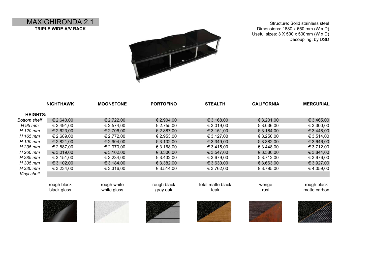MAXIGHIRONDA 2.1 **TRIPLE WIDE A/V RACK**



Structure: Solid stainless steel Dimensions: 1680 x 650 mm (W x D) Useful sizes: 3 X 500 x 500mm (W x D) Decoupling: by DSD

|                     | <b>NIGHTHAWK</b> | <b>MOONSTONE</b> | <b>PORTOFINO</b> | <b>STEALTH</b>    | <b>CALIFORNIA</b> | <b>MERCURIAL</b> |
|---------------------|------------------|------------------|------------------|-------------------|-------------------|------------------|
| <b>HEIGHTS:</b>     |                  |                  |                  |                   |                   |                  |
| <b>Bottom shelf</b> | € 2.640,00       | € 2.722,00       | € 2.904,00       | € 3.168,00        | € 3.201,00        | € 3.465,00       |
| H 95 mm             | € 2.491,00       | € 2.574,00       | € 2.755,00       | € 3.019,00        | € 3.036,00        | € 3.300,00       |
| H 120 mm            | € 2.623,00       | € 2.706,00       | € 2.887,00       | € 3.151,00        | € 3.184,00        | € 3.448,00       |
| H 165 mm            | € 2.689,00       | € 2.772,00       | € 2.953,00       | € 3.127,00        | € 3.250,00        | € 3.514,00       |
| H 190 mm            | € 2.821,00       | € 2.904,00       | € 3.102,00       | € 3.349,00        | € 3.382,00        | € 3.646,00       |
| H 235 mm            | € 2.887,00       | € 2.970,00       | € 3.168,00       | € 3.415,00        | € 3.448,00        | € 3.712,00       |
| H 260 mm            | € 3.019,00       | € 3.102,00       | € 3.300,00       | € 3.547,00        | € 3.580,00        | € 3.844,00       |
| H 285 mm            | € 3.151,00       | € 3.234,00       | € 3.432,00       | € 3.679,00        | € 3.712,00        | € 3.976,00       |
| H 305 mm            | € 3.102,00       | € 3.184,00       | € 3.382,00       | € 3.630,00        | € 3.663,00        | € 3.927,00       |
| H 330 mm            | € 3.234,00       | € 3.316,00       | € 3.514,00       | € 3.762,00        | € 3.795,00        | €4.059,00        |
| Vinyl shelf         |                  |                  |                  |                   |                   |                  |
|                     |                  |                  |                  |                   |                   |                  |
|                     | rough black      | rough white      | rough black      | total matte black | wenge             | rough black      |
|                     | black glass      | white glass      | gray oak         | teak              | rust              | matte carbon     |
|                     |                  |                  |                  |                   |                   |                  |
|                     |                  |                  |                  |                   |                   |                  |
|                     |                  |                  |                  |                   |                   |                  |
|                     |                  |                  |                  |                   |                   |                  |
|                     |                  |                  |                  |                   |                   |                  |
|                     |                  |                  |                  |                   |                   |                  |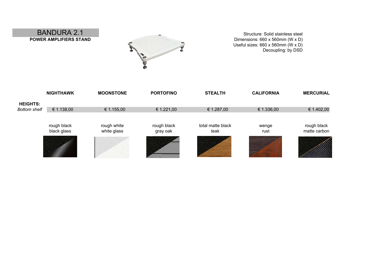Structure: Solid stainless steel Dimensions: 660 x 560mm (W x D) Useful sizes: 660 x 560mm (W x D) Decoupling: by DSD



# BANDURA 2.1 **POWER AMPLIFIERS STAND**

|                     | <b>NIGHTHAWK</b>           | <b>MOONSTONE</b>           | <b>PORTOFINO</b>        | <b>STEALTH</b>            | <b>CALIFORNIA</b> | <b>MERCURIAL</b>            |
|---------------------|----------------------------|----------------------------|-------------------------|---------------------------|-------------------|-----------------------------|
| <b>HEIGHTS:</b>     |                            |                            |                         |                           |                   |                             |
| <b>Bottom shelf</b> | € 1.138,00                 | € 1.155,00                 | € 1.221,00              | € 1.287,00                | € 1.336,00        | € 1.402,00                  |
|                     |                            |                            |                         |                           |                   |                             |
|                     | rough black<br>black glass | rough white<br>white glass | rough black<br>gray oak | total matte black<br>teak | wenge<br>rust     | rough black<br>matte carbon |
|                     |                            |                            |                         |                           |                   |                             |
|                     |                            |                            |                         |                           |                   |                             |
|                     |                            |                            |                         |                           |                   |                             |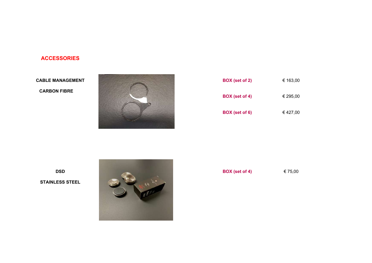### **ACCESSORIES**

#### **CABLE MANAGEMENT**

**CARBON FIBRE**



| € 163,00 |
|----------|
| € 295,00 |
| € 427,00 |
|          |

**STAINLESS STEEL**

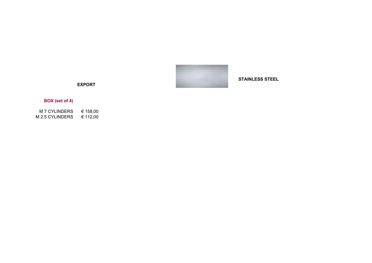

**STAINLESS STEEL**

**EXPORT**

### **BOX (set of 4)**

 $M$  7 CYLINDERS € 158,00<br> $M$  2.5 CYLINDERS € 112,00 M 2.5 CYLINDERS